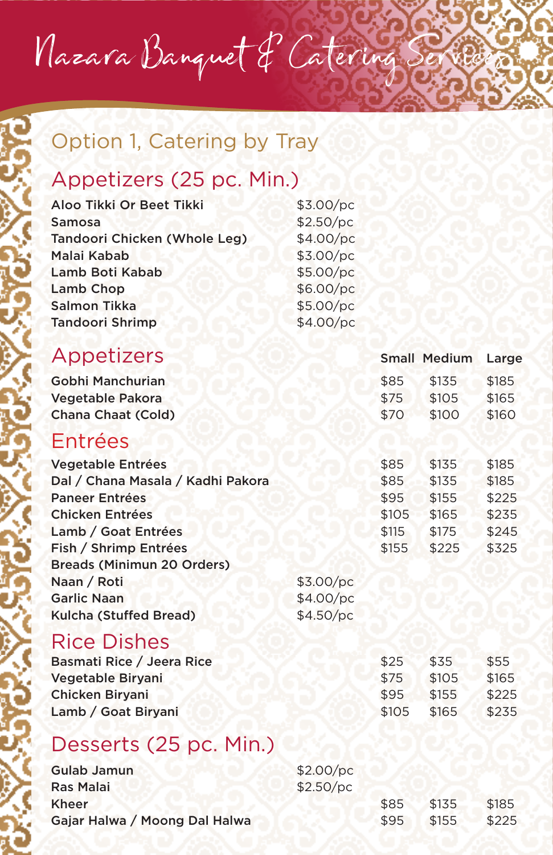Nazara Banquet & Catering Se

# Option 1, Catering by Tray

## Appetizers (25 pc. Min.)

| Aloo Tikki Or Beet Tikki<br>Samosa<br>Tandoori Chicken (Whole Leg)<br>Malai Kabab<br>Lamb Boti Kabab<br><b>Lamb Chop</b><br>Salmon Tikka<br><b>Tandoori Shrimp</b>                                                                                                   | \$3.00/pc<br>\$2.50/pc<br>\$4.00/pc<br>\$3.00/pc<br>\$5.00/pc<br>\$6.00/pc<br>\$5.00/pc<br>\$4.00/pc |                                                 |                                                    |                                                    |
|----------------------------------------------------------------------------------------------------------------------------------------------------------------------------------------------------------------------------------------------------------------------|------------------------------------------------------------------------------------------------------|-------------------------------------------------|----------------------------------------------------|----------------------------------------------------|
| Appetizers                                                                                                                                                                                                                                                           |                                                                                                      |                                                 | <b>Small Medium</b>                                | Large                                              |
| Gobhi Manchurian<br>Vegetable Pakora<br><b>Chana Chaat (Cold)</b>                                                                                                                                                                                                    |                                                                                                      | \$85<br>\$75<br>\$70                            | \$135<br>\$105<br>\$100                            | \$185<br>\$165<br>\$160                            |
| Entrées                                                                                                                                                                                                                                                              |                                                                                                      |                                                 |                                                    |                                                    |
| <b>Vegetable Entrées</b><br>Dal / Chana Masala / Kadhi Pakora<br><b>Paneer Entrées</b><br><b>Chicken Entrées</b><br>Lamb / Goat Entrées<br>Fish / Shrimp Entrées<br><b>Breads (Minimun 20 Orders)</b><br>Naan / Roti<br><b>Garlic Naan</b><br>Kulcha (Stuffed Bread) | \$3.00/pc<br>\$4.00/pc<br>\$4.50/pc                                                                  | \$85<br>\$85<br>\$95<br>\$105<br>\$115<br>\$155 | \$135<br>\$135<br>\$155<br>\$165<br>\$175<br>\$225 | \$185<br>\$185<br>\$225<br>\$235<br>\$245<br>\$325 |
| <b>Rice Dishes</b>                                                                                                                                                                                                                                                   |                                                                                                      |                                                 |                                                    |                                                    |

| Basmati Rice / Jeera Rice | \$25  | \$35  | \$55  |
|---------------------------|-------|-------|-------|
| Vegetable Birvani         | \$75  | \$105 | \$165 |
| <b>Chicken Biryani</b>    | \$95  | \$155 | \$225 |
| Lamb / Goat Biryani       | \$105 | \$165 | \$235 |
|                           |       |       |       |

### Desserts (25 pc. Min.)

| Gulab Jamun                   | \$2.00/pc |      |       |       |
|-------------------------------|-----------|------|-------|-------|
| Ras Malai                     | \$2.50/pc |      |       |       |
| Kheer                         |           | \$85 | \$135 | \$185 |
| Gajar Halwa / Moong Dal Halwa |           | \$95 | \$155 | \$225 |